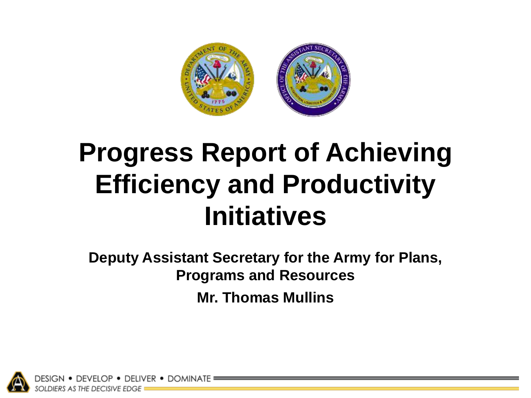

# **Progress Report of Achieving Efficiency and Productivity Initiatives**

**Deputy Assistant Secretary for the Army for Plans, Programs and Resources Mr. Thomas Mullins**

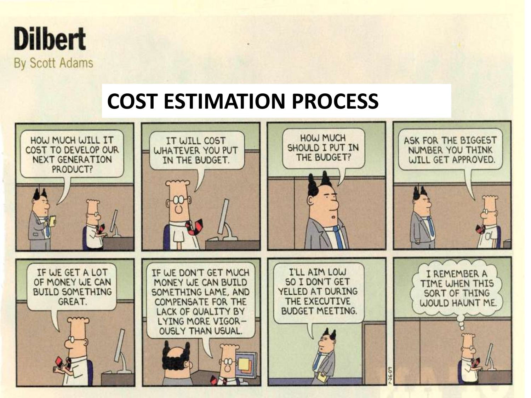

# **COST ESTIMATION PROCESS**

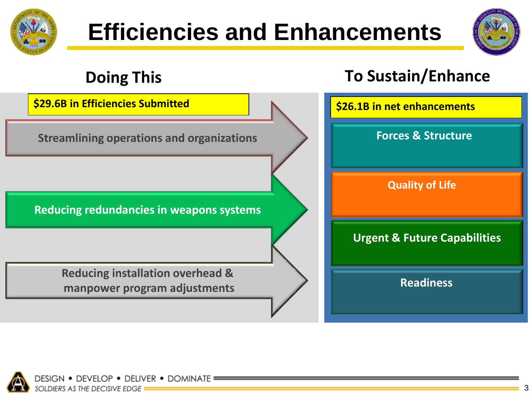



# **Doing This To Sustain/Enhance Urgent & Future Capabilities Forces & Structure Readiness Reducing installation overhead & manpower program adjustments Reducing redundancies in weapons systems Streamlining operations and organizations Quality of Life \$29.6B in Efficiencies Submitted \$26.1B in net enhancements**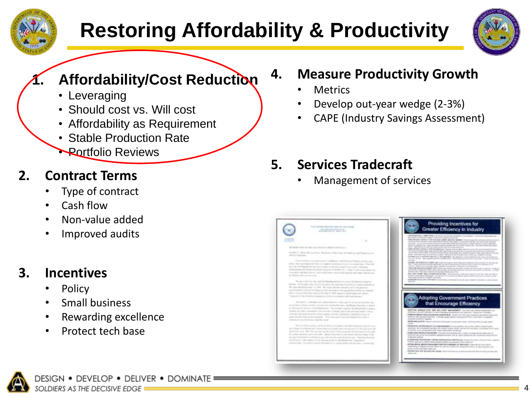

# **Restoring Affordability & Productivity**



## **1. Affordability/Cost Reduction**

- Leveraging
- Should cost vs. Will cost
- Affordability as Requirement
- Stable Production Rate
- **Portfolio Reviews**

## **2. Contract Terms**

- Type of contract
- Cash flow
- Non-value added
- Improved audits

## **3. Incentives**

- **Policy**
- Small business
- Rewarding excellence
- Protect tech base



- **Metrics**
- Develop out-year wedge (2-3%)
- CAPE (Industry Savings Assessment)

## **5. Services Tradecraft**

• Management of services

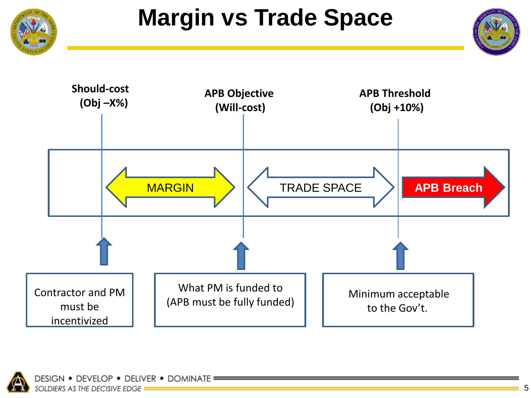



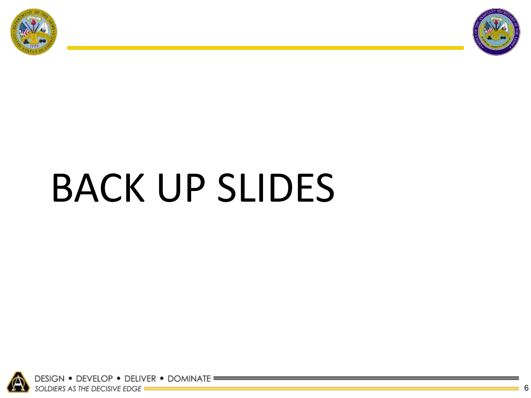



# BACK UP SLIDES

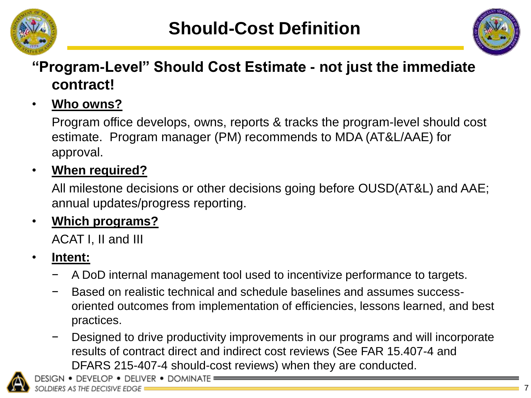



## **"Program-Level" Should Cost Estimate - not just the immediate contract!**

#### • **Who owns?**

Program office develops, owns, reports & tracks the program-level should cost estimate. Program manager (PM) recommends to MDA (AT&L/AAE) for approval.

#### • **When required?**

All milestone decisions or other decisions going before OUSD(AT&L) and AAE; annual updates/progress reporting.

#### • **Which programs?**

ACAT I, II and III

#### • **Intent:**

- − A DoD internal management tool used to incentivize performance to targets.
- − Based on realistic technical and schedule baselines and assumes successoriented outcomes from implementation of efficiencies, lessons learned, and best practices.
- Designed to drive productivity improvements in our programs and will incorporate results of contract direct and indirect cost reviews (See FAR 15.407-4 and DFARS 215-407-4 should-cost reviews) when they are conducted.

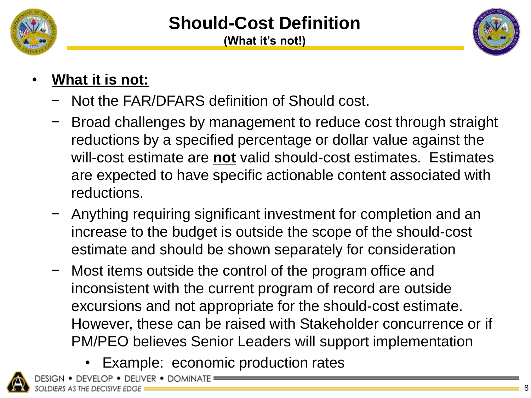



# • **What it is not:**

- − Not the FAR/DFARS definition of Should cost.
- Broad challenges by management to reduce cost through straight reductions by a specified percentage or dollar value against the will-cost estimate are **not** valid should-cost estimates. Estimates are expected to have specific actionable content associated with reductions.
- − Anything requiring significant investment for completion and an increase to the budget is outside the scope of the should-cost estimate and should be shown separately for consideration
- Most items outside the control of the program office and inconsistent with the current program of record are outside excursions and not appropriate for the should-cost estimate. However, these can be raised with Stakeholder concurrence or if PM/PEO believes Senior Leaders will support implementation
	- Example: economic production rates